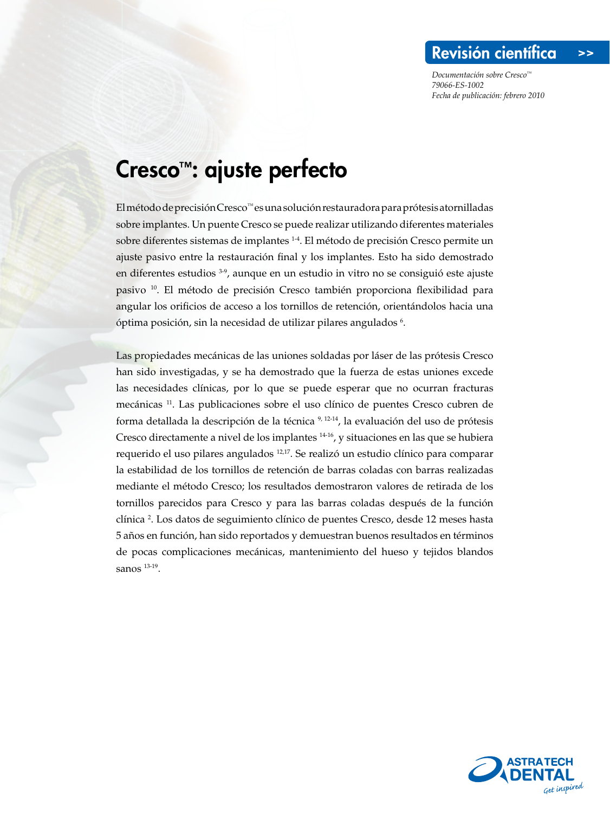*Documentación sobre Cresco™ 79066-ES-1002 Fecha de publicación: febrero 2010*

## Cresco™: ajuste perfecto

El método de precisión Cresco™ es una solución restauradora para prótesis atornilladas sobre implantes. Un puente Cresco se puede realizar utilizando diferentes materiales sobre diferentes sistemas de implantes <sup>1-4</sup>. El método de precisión Cresco permite un ajuste pasivo entre la restauración final y los implantes. Esto ha sido demostrado en diferentes estudios 3-9, aunque en un estudio in vitro no se consiguió este ajuste pasivo 10. El método de precisión Cresco también proporciona flexibilidad para angular los orificios de acceso a los tornillos de retención, orientándolos hacia una óptima posición, sin la necesidad de utilizar pilares angulados  $^6$ .

Las propiedades mecánicas de las uniones soldadas por láser de las prótesis Cresco han sido investigadas, y se ha demostrado que la fuerza de estas uniones excede las necesidades clínicas, por lo que se puede esperar que no ocurran fracturas mecánicas 11. Las publicaciones sobre el uso clínico de puentes Cresco cubren de forma detallada la descripción de la técnica 9, 12-14, la evaluación del uso de prótesis Cresco directamente a nivel de los implantes 14-16, y situaciones en las que se hubiera requerido el uso pilares angulados 12,17. Se realizó un estudio clínico para comparar la estabilidad de los tornillos de retención de barras coladas con barras realizadas mediante el método Cresco; los resultados demostraron valores de retirada de los tornillos parecidos para Cresco y para las barras coladas después de la función clínica 2 . Los datos de seguimiento clínico de puentes Cresco, desde 12 meses hasta 5 años en función, han sido reportados y demuestran buenos resultados en términos de pocas complicaciones mecánicas, mantenimiento del hueso y tejidos blandos sanos 13-19.